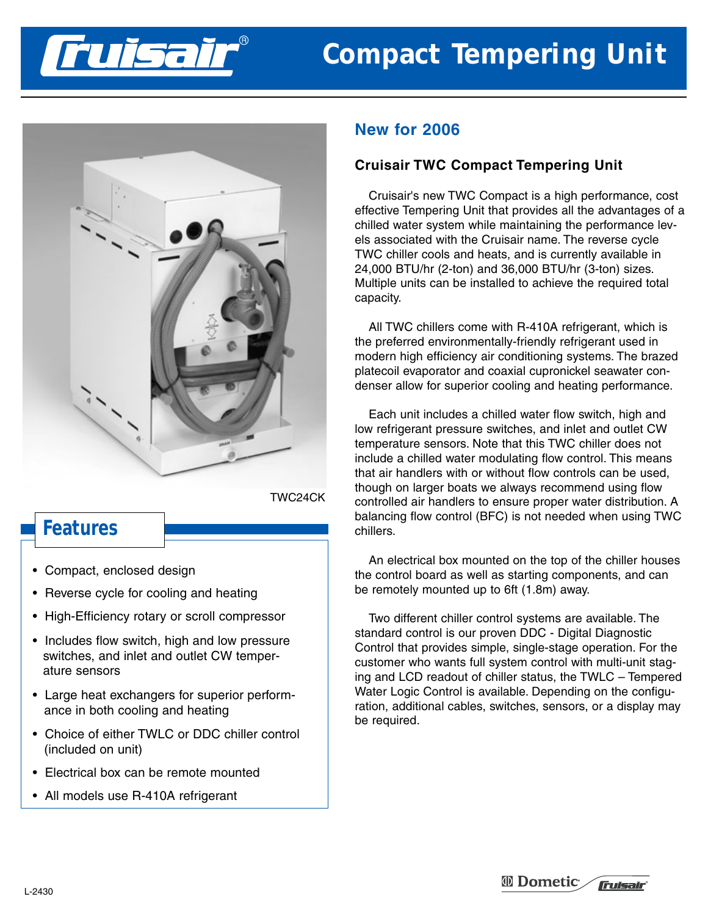# **Compact Tempering Unit**



TWC24CK

# **Features**

- Compact, enclosed design
- Reverse cycle for cooling and heating
- High-Efficiency rotary or scroll compressor
- Includes flow switch, high and low pressure switches, and inlet and outlet CW temperature sensors
- Large heat exchangers for superior performance in both cooling and heating
- Choice of either TWLC or DDC chiller control (included on unit)
- Electrical box can be remote mounted
- All models use R-410A refrigerant

## **New for 2006**

## **Cruisair TWC Compact Tempering Unit**

Cruisair's new TWC Compact is a high performance, cost effective Tempering Unit that provides all the advantages of a chilled water system while maintaining the performance levels associated with the Cruisair name. The reverse cycle TWC chiller cools and heats, and is currently available in 24,000 BTU/hr (2-ton) and 36,000 BTU/hr (3-ton) sizes. Multiple units can be installed to achieve the required total capacity.

All TWC chillers come with R-410A refrigerant, which is the preferred environmentally-friendly refrigerant used in modern high efficiency air conditioning systems. The brazed platecoil evaporator and coaxial cupronickel seawater condenser allow for superior cooling and heating performance.

Each unit includes a chilled water flow switch, high and low refrigerant pressure switches, and inlet and outlet CW temperature sensors. Note that this TWC chiller does not include a chilled water modulating flow control. This means that air handlers with or without flow controls can be used, though on larger boats we always recommend using flow controlled air handlers to ensure proper water distribution. A balancing flow control (BFC) is not needed when using TWC chillers.

An electrical box mounted on the top of the chiller houses the control board as well as starting components, and can be remotely mounted up to 6ft (1.8m) away.

Two different chiller control systems are available. The standard control is our proven DDC - Digital Diagnostic Control that provides simple, single-stage operation. For the customer who wants full system control with multi-unit staging and LCD readout of chiller status, the TWLC – Tempered Water Logic Control is available. Depending on the configuration, additional cables, switches, sensors, or a display may be required.